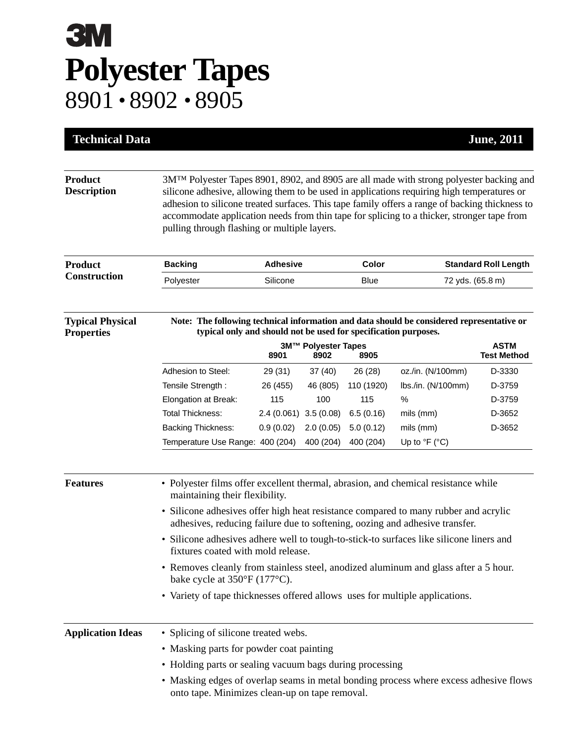## **3M Polyester Tapes** 8901 • 8902 • 8905

| <b>Technical Data</b>                        |                                                                                                                                                                                                                                                                                                                                                                                                                                                    |                         |           |             |                                        | <b>June</b> , 2011 |  |
|----------------------------------------------|----------------------------------------------------------------------------------------------------------------------------------------------------------------------------------------------------------------------------------------------------------------------------------------------------------------------------------------------------------------------------------------------------------------------------------------------------|-------------------------|-----------|-------------|----------------------------------------|--------------------|--|
| <b>Product</b><br><b>Description</b>         | 3M <sup>TM</sup> Polyester Tapes 8901, 8902, and 8905 are all made with strong polyester backing and<br>silicone adhesive, allowing them to be used in applications requiring high temperatures or<br>adhesion to silicone treated surfaces. This tape family offers a range of backing thickness to<br>accommodate application needs from thin tape for splicing to a thicker, stronger tape from<br>pulling through flashing or multiple layers. |                         |           |             |                                        |                    |  |
| <b>Product</b><br><b>Construction</b>        | <b>Backing</b>                                                                                                                                                                                                                                                                                                                                                                                                                                     | <b>Adhesive</b>         |           | Color       | <b>Standard Roll Length</b>            |                    |  |
|                                              | Polyester                                                                                                                                                                                                                                                                                                                                                                                                                                          | Silicone                |           | <b>Blue</b> | 72 yds. (65.8 m)                       |                    |  |
| <b>Typical Physical</b><br><b>Properties</b> | Note: The following technical information and data should be considered representative or<br>typical only and should not be used for specification purposes.<br><b>ASTM</b><br>3M™ Polyester Tapes                                                                                                                                                                                                                                                 |                         |           |             |                                        |                    |  |
|                                              |                                                                                                                                                                                                                                                                                                                                                                                                                                                    | 8901                    | 8902      | 8905        |                                        | <b>Test Method</b> |  |
|                                              | Adhesion to Steel:                                                                                                                                                                                                                                                                                                                                                                                                                                 | 29 (31)                 | 37(40)    | 26 (28)     | oz./in. (N/100mm)                      | D-3330             |  |
|                                              | Tensile Strength:                                                                                                                                                                                                                                                                                                                                                                                                                                  | 26 (455)                | 46 (805)  | 110 (1920)  | lbs./in. (N/100mm)                     | D-3759             |  |
|                                              | Elongation at Break:                                                                                                                                                                                                                                                                                                                                                                                                                               | 115                     | 100       | 115         | %                                      | D-3759             |  |
|                                              | Total Thickness:                                                                                                                                                                                                                                                                                                                                                                                                                                   | $2.4(0.061)$ 3.5 (0.08) |           | 6.5(0.16)   | mils (mm)                              | D-3652             |  |
|                                              | <b>Backing Thickness:</b>                                                                                                                                                                                                                                                                                                                                                                                                                          | 0.9(0.02)               | 2.0(0.05) | 5.0(0.12)   | mils (mm)                              | D-3652             |  |
|                                              | Temperature Use Range: 400 (204)                                                                                                                                                                                                                                                                                                                                                                                                                   |                         | 400 (204) | 400 (204)   | Up to ${}^{\circ}$ F ( ${}^{\circ}$ C) |                    |  |
| <b>Features</b>                              | • Polyester films offer excellent thermal, abrasion, and chemical resistance while<br>maintaining their flexibility.<br>• Silicone adhesives offer high heat resistance compared to many rubber and acrylic<br>adhesives, reducing failure due to softening, oozing and adhesive transfer.                                                                                                                                                         |                         |           |             |                                        |                    |  |
|                                              | • Silicone adhesives adhere well to tough-to-stick-to surfaces like silicone liners and<br>fixtures coated with mold release.                                                                                                                                                                                                                                                                                                                      |                         |           |             |                                        |                    |  |
|                                              | • Removes cleanly from stainless steel, anodized aluminum and glass after a 5 hour.<br>bake cycle at $350^{\circ}F(177^{\circ}C)$ .                                                                                                                                                                                                                                                                                                                |                         |           |             |                                        |                    |  |
|                                              | • Variety of tape thicknesses offered allows uses for multiple applications.                                                                                                                                                                                                                                                                                                                                                                       |                         |           |             |                                        |                    |  |
| <b>Application Ideas</b>                     | • Splicing of silicone treated webs.                                                                                                                                                                                                                                                                                                                                                                                                               |                         |           |             |                                        |                    |  |
|                                              | • Masking parts for powder coat painting                                                                                                                                                                                                                                                                                                                                                                                                           |                         |           |             |                                        |                    |  |
|                                              | • Holding parts or sealing vacuum bags during processing                                                                                                                                                                                                                                                                                                                                                                                           |                         |           |             |                                        |                    |  |
|                                              | • Masking edges of overlap seams in metal bonding process where excess adhesive flows<br>onto tape. Minimizes clean-up on tape removal.                                                                                                                                                                                                                                                                                                            |                         |           |             |                                        |                    |  |